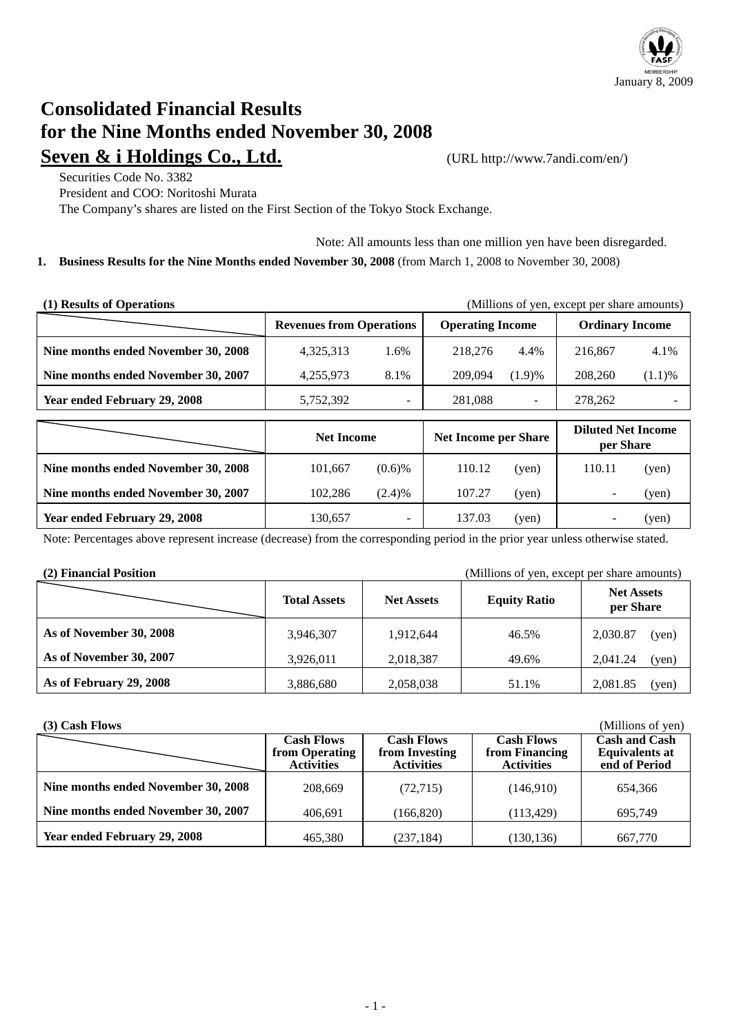

# **Consolidated Financial Results for the Nine Months ended November 30, 2008 Seven & i Holdings Co., Ltd.** (URL http://www.7andi.com/en/)

Securities Code No. 3382 President and COO: Noritoshi Murata

The Company's shares are listed on the First Section of the Tokyo Stock Exchange.

Note: All amounts less than one million yen have been disregarded. **1. Business Results for the Nine Months ended November 30, 2008** (from March 1, 2008 to November 30, 2008)

| (1) Results of Operations<br>(Millions of yen, except per share amounts) |                                 |      |                             |        |                                        |        |  |
|--------------------------------------------------------------------------|---------------------------------|------|-----------------------------|--------|----------------------------------------|--------|--|
|                                                                          | <b>Revenues from Operations</b> |      | <b>Operating Income</b>     |        | <b>Ordinary Income</b>                 |        |  |
| Nine months ended November 30, 2008                                      | 4,325,313                       | 1.6% | 218,276                     | 4.4%   | 216,867                                | 4.1%   |  |
| Nine months ended November 30, 2007                                      | 4,255,973                       | 8.1% | 209,094                     | (1.9)% | 208,260                                | (1.1)% |  |
| Year ended February 29, 2008                                             | 5,752,392                       | -    | 281,088                     |        | 278,262                                |        |  |
|                                                                          | <b>Net Income</b>               |      | <b>Net Income per Share</b> |        | <b>Diluted Net Income</b><br>nou Chaus |        |  |

|                                     | <b>Net Income</b> |                          | <b>Net Income per Share</b> |       | Dhuicu I ict mcome<br>per Share |       |
|-------------------------------------|-------------------|--------------------------|-----------------------------|-------|---------------------------------|-------|
| Nine months ended November 30, 2008 | 101.667           | $(0.6)$ %                | 110.12                      | (yen) | 110.11                          | (ven) |
| Nine months ended November 30, 2007 | 102.286           | (2.4)%                   | 107.27                      | (ven) |                                 | (ven) |
| <b>Year ended February 29, 2008</b> | 130.657           | $\overline{\phantom{a}}$ | 137.03                      | (yen) |                                 | (yen) |

Note: Percentages above represent increase (decrease) from the corresponding period in the prior year unless otherwise stated.

**(2) Financial Position** (Millions of yen, except per share amounts)

|                         | <b>Total Assets</b> | <b>Net Assets</b> | <b>Equity Ratio</b> | <b>Net Assets</b><br>per Share |
|-------------------------|---------------------|-------------------|---------------------|--------------------------------|
| As of November 30, 2008 | 3,946,307           | 1,912,644         | 46.5%               | 2,030.87<br>(yen)              |
| As of November 30, 2007 | 3,926,011           | 2,018,387         | 49.6%               | 2,041.24<br>(yen)              |
| As of February 29, 2008 | 3,886,680           | 2,058,038         | 51.1%               | 2,081.85<br>(yen)              |

| $(3)$ Cash Flows                    |                                                          |                                                          |                                                          | (Millions of yen)                                              |
|-------------------------------------|----------------------------------------------------------|----------------------------------------------------------|----------------------------------------------------------|----------------------------------------------------------------|
|                                     | <b>Cash Flows</b><br>from Operating<br><b>Activities</b> | <b>Cash Flows</b><br>from Investing<br><b>Activities</b> | <b>Cash Flows</b><br>from Financing<br><b>Activities</b> | <b>Cash and Cash</b><br><b>Equivalents at</b><br>end of Period |
| Nine months ended November 30, 2008 | 208,669                                                  | (72, 715)                                                | (146,910)                                                | 654,366                                                        |
| Nine months ended November 30, 2007 | 406.691                                                  | (166, 820)                                               | (113, 429)                                               | 695.749                                                        |
| Year ended February 29, 2008        | 465,380                                                  | (237, 184)                                               | (130, 136)                                               | 667,770                                                        |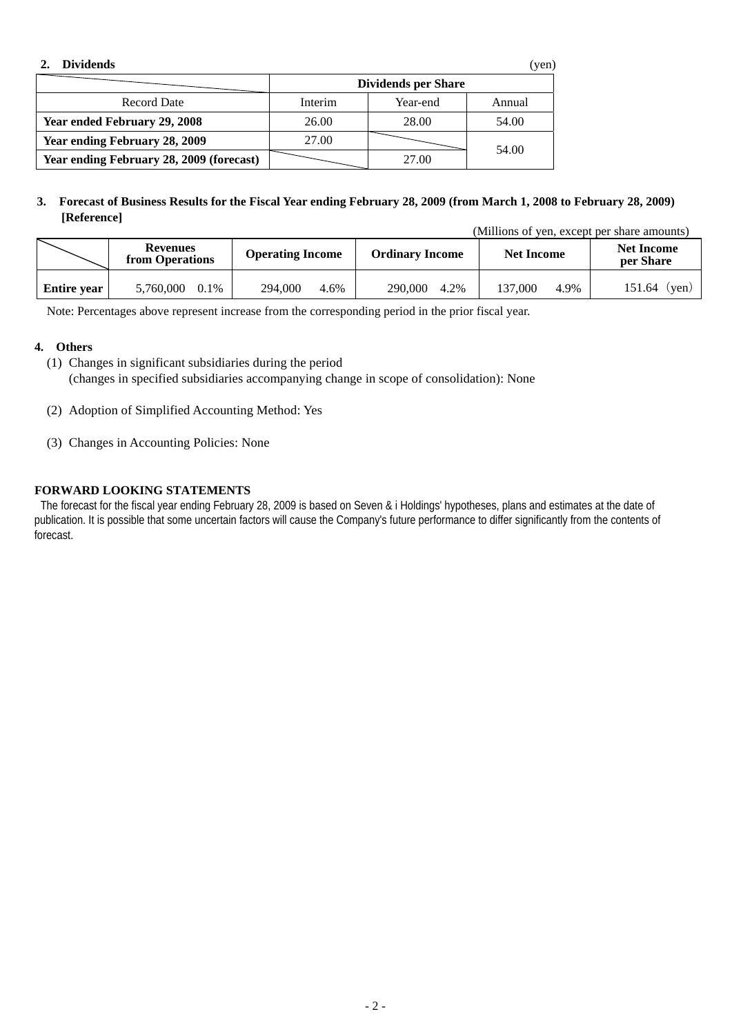| <b>Dividends</b>                         |                     |          | (yen)  |  |  |
|------------------------------------------|---------------------|----------|--------|--|--|
|                                          | Dividends per Share |          |        |  |  |
| <b>Record Date</b>                       | Interim             | Year-end | Annual |  |  |
| Year ended February 29, 2008             | 26.00               | 28.00    | 54.00  |  |  |
| Year ending February 28, 2009            | 27.00               |          |        |  |  |
| Year ending February 28, 2009 (forecast) |                     | 27.00    | 54.00  |  |  |

### **3. Forecast of Business Results for the Fiscal Year ending February 28, 2009 (from March 1, 2008 to February 28, 2009) [Reference]**

(Millions of yen, except per share amounts)

|                    | Revenues<br>from Operations | <b>Operating Income</b> | <b>Ordinary Income</b> | <b>Net Income</b> | <b>Net Income</b><br>per Share |
|--------------------|-----------------------------|-------------------------|------------------------|-------------------|--------------------------------|
| <b>Entire year</b> | 5,760,000                   | 294,000                 | 290,000                | 4.9%              | 151.64                         |
|                    | 0.1%                        | 4.6%                    | 4.2%                   | 137.000           | $(\text{ven})$                 |

Note: Percentages above represent increase from the corresponding period in the prior fiscal year.

### **4. Others**

- (1) Changes in significant subsidiaries during the period (changes in specified subsidiaries accompanying change in scope of consolidation): None
- (2) Adoption of Simplified Accounting Method: Yes
- (3) Changes in Accounting Policies: None

## **FORWARD LOOKING STATEMENTS**

 The forecast for the fiscal year ending February 28, 2009 is based on Seven & i Holdings' hypotheses, plans and estimates at the date of publication. It is possible that some uncertain factors will cause the Company's future performance to differ significantly from the contents of forecast.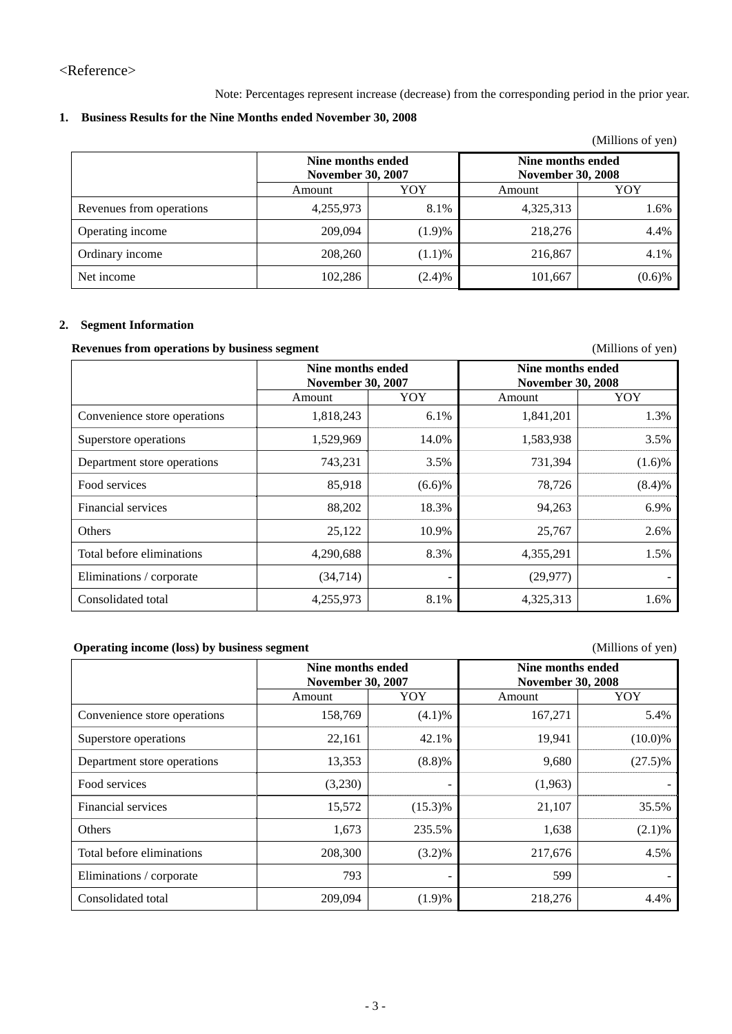<Reference>

Note: Percentages represent increase (decrease) from the corresponding period in the prior year.

## **1. Business Results for the Nine Months ended November 30, 2008**

| (Millions of yen) |
|-------------------|
|-------------------|

|                          | Nine months ended<br><b>November 30, 2007</b> |        | Nine months ended<br><b>November 30, 2008</b> |           |  |
|--------------------------|-----------------------------------------------|--------|-----------------------------------------------|-----------|--|
|                          | Amount                                        | YOY    | Amount                                        | YOY       |  |
| Revenues from operations | 4,255,973                                     | 8.1%   | 4,325,313                                     | 1.6%      |  |
| Operating income         | 209,094                                       | (1.9)% | 218,276                                       | 4.4%      |  |
| Ordinary income          | 208,260                                       | (1.1)% | 216,867                                       | 4.1%      |  |
| Net income               | 102,286                                       | (2.4)% | 101,667                                       | $(0.6)$ % |  |

### **2. Segment Information**

# **Revenues from operations by business segment** (Millions of yen)

|                              | Nine months ended<br><b>November 30, 2007</b> |        | Nine months ended<br><b>November 30, 2008</b> |           |  |
|------------------------------|-----------------------------------------------|--------|-----------------------------------------------|-----------|--|
|                              | Amount                                        | YOY    | Amount                                        | YOY       |  |
| Convenience store operations | 1,818,243                                     | 6.1%   | 1,841,201                                     | 1.3%      |  |
| Superstore operations        | 1,529,969                                     | 14.0%  | 1,583,938                                     | 3.5%      |  |
| Department store operations  | 743,231                                       | 3.5%   | 731,394                                       | $(1.6)\%$ |  |
| Food services                | 85,918                                        | (6.6)% | 78,726                                        | (8.4)%    |  |
| Financial services           | 88,202                                        | 18.3%  | 94,263                                        | 6.9%      |  |
| Others                       | 25,122                                        | 10.9%  | 25,767                                        | 2.6%      |  |
| Total before eliminations    | 4,290,688                                     | 8.3%   | 4,355,291                                     | 1.5%      |  |
| Eliminations / corporate     | (34, 714)                                     | ٠      | (29, 977)                                     |           |  |
| Consolidated total           | 4,255,973                                     | 8.1%   | 4,325,313                                     | 1.6%      |  |

### **Operating income (loss) by business segment** (Millions of yen)

|                              | Nine months ended<br><b>November 30, 2007</b> |                          | Nine months ended<br><b>November 30, 2008</b> |            |  |
|------------------------------|-----------------------------------------------|--------------------------|-----------------------------------------------|------------|--|
|                              | Amount                                        | YOY                      | Amount                                        | YOY        |  |
| Convenience store operations | 158,769                                       | (4.1)%                   | 167,271                                       | 5.4%       |  |
| Superstore operations        | 22,161                                        | 42.1%                    | 19,941                                        | $(10.0)\%$ |  |
| Department store operations  | 13,353                                        | (8.8)%                   | 9,680                                         | $(27.5)\%$ |  |
| Food services                | (3,230)                                       |                          | (1,963)                                       |            |  |
| Financial services           | 15,572                                        | $(15.3)\%$               | 21,107                                        | 35.5%      |  |
| Others                       | 1,673                                         | 235.5%                   | 1,638                                         | (2.1)%     |  |
| Total before eliminations    | 208,300                                       | $(3.2)\%$                | 217,676                                       | 4.5%       |  |
| Eliminations / corporate     | 793                                           | $\overline{\phantom{a}}$ | 599                                           |            |  |
| Consolidated total           | 209,094                                       | (1.9)%                   | 218,276                                       | 4.4%       |  |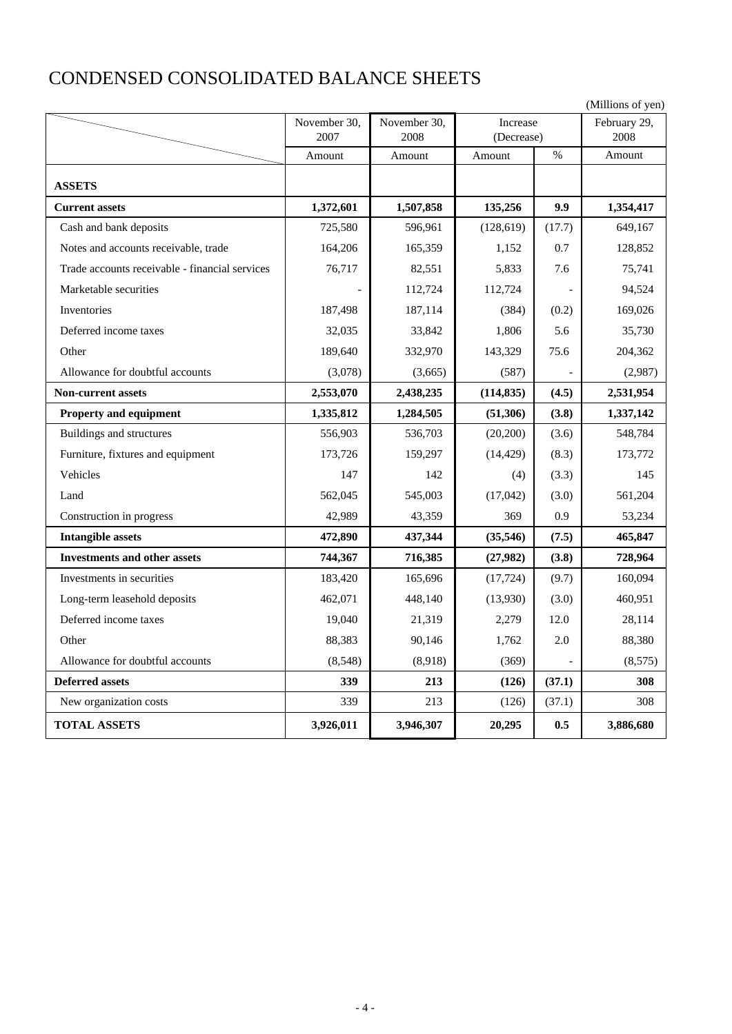# CONDENSED CONSOLIDATED BALANCE SHEETS

|                                                |              |              |            |        | (Millions of yen) |
|------------------------------------------------|--------------|--------------|------------|--------|-------------------|
|                                                | November 30, | November 30, | Increase   |        | February 29,      |
|                                                | 2007         | 2008         | (Decrease) |        | 2008              |
|                                                | Amount       | Amount       | Amount     | $\%$   | Amount            |
| <b>ASSETS</b>                                  |              |              |            |        |                   |
| <b>Current assets</b>                          | 1,372,601    | 1,507,858    | 135,256    | 9.9    | 1,354,417         |
| Cash and bank deposits                         | 725,580      | 596,961      | (128, 619) | (17.7) | 649,167           |
| Notes and accounts receivable, trade           | 164,206      | 165,359      | 1,152      | 0.7    | 128,852           |
| Trade accounts receivable - financial services | 76,717       | 82,551       | 5,833      | 7.6    | 75,741            |
| Marketable securities                          |              | 112,724      | 112,724    |        | 94,524            |
| Inventories                                    | 187,498      | 187,114      | (384)      | (0.2)  | 169,026           |
| Deferred income taxes                          | 32,035       | 33,842       | 1,806      | 5.6    | 35,730            |
| Other                                          | 189,640      | 332,970      | 143,329    | 75.6   | 204,362           |
| Allowance for doubtful accounts                | (3,078)      | (3,665)      | (587)      |        | (2,987)           |
| <b>Non-current assets</b>                      | 2,553,070    | 2,438,235    | (114, 835) | (4.5)  | 2,531,954         |
| Property and equipment                         | 1,335,812    | 1,284,505    | (51,306)   | (3.8)  | 1,337,142         |
| Buildings and structures                       | 556,903      | 536,703      | (20,200)   | (3.6)  | 548,784           |
| Furniture, fixtures and equipment              | 173,726      | 159,297      | (14, 429)  | (8.3)  | 173,772           |
| Vehicles                                       | 147          | 142          | (4)        | (3.3)  | 145               |
| Land                                           | 562,045      | 545,003      | (17,042)   | (3.0)  | 561,204           |
| Construction in progress                       | 42,989       | 43,359       | 369        | 0.9    | 53,234            |
| <b>Intangible assets</b>                       | 472,890      | 437,344      | (35,546)   | (7.5)  | 465,847           |
| <b>Investments and other assets</b>            | 744,367      | 716,385      | (27,982)   | (3.8)  | 728,964           |
| Investments in securities                      | 183,420      | 165,696      | (17, 724)  | (9.7)  | 160,094           |
| Long-term leasehold deposits                   | 462,071      | 448,140      | (13,930)   | (3.0)  | 460,951           |
| Deferred income taxes                          | 19,040       | 21,319       | 2,279      | 12.0   | 28,114            |
| Other                                          | 88,383       | 90,146       | 1,762      | 2.0    | 88,380            |
| Allowance for doubtful accounts                | (8,548)      | (8,918)      | (369)      |        | (8,575)           |
| <b>Deferred assets</b>                         | 339          | 213          | (126)      | (37.1) | 308               |
| New organization costs                         | 339          | 213          | (126)      | (37.1) | 308               |
| <b>TOTAL ASSETS</b>                            | 3,926,011    | 3,946,307    | 20,295     | 0.5    | 3,886,680         |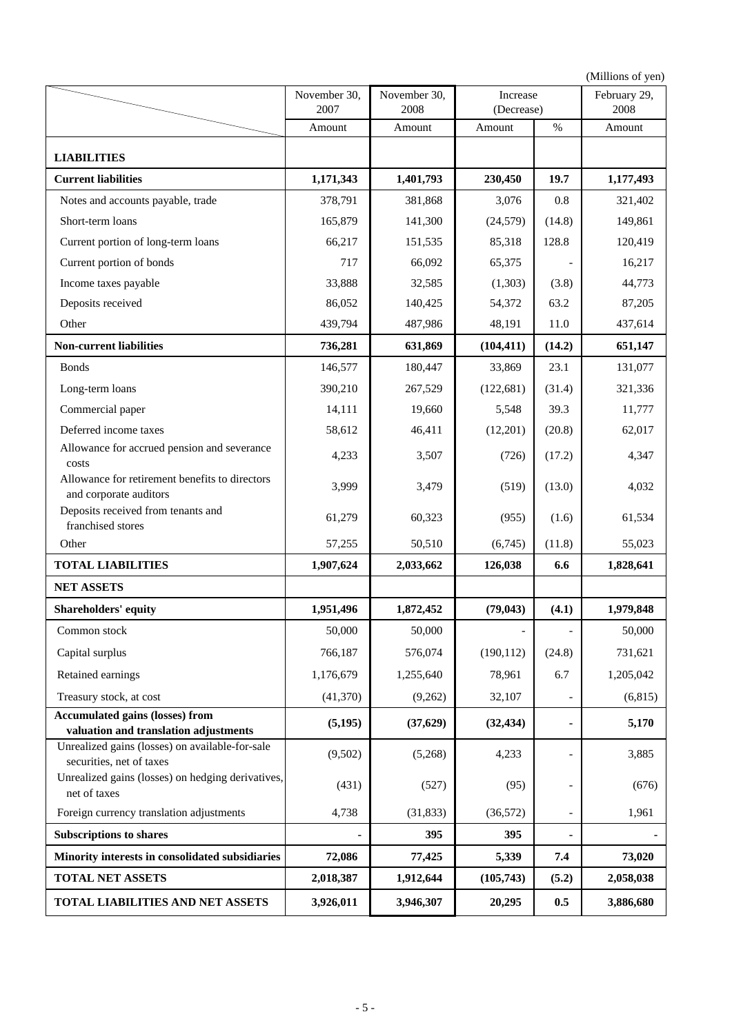(Millions of yen) **LIABILITIES Current liabilities** 1,171,343 1,401,793 230,450 19.7 1,177,493 Notes and accounts payable, trade 378,791 381,868 3,076 0.8 321,402 Short-term loans 165,879 141,300 (24,579) (14.8) 149,861 Current portion of long-term loans 66,217 151,535 85,318 128.8 120,419 Current portion of bonds 16,217 66,092 65,375 - 16,217 Income taxes payable 33,888 32,585 (1,303) (3.8) 44,773 Deposits received 86,052 140,425 54,372 63.2 87,205 Other 2011 11.0 139,794 487,986 48,191 11.0 437,614 **Non-current liabilities** 1 **736,281 631,869** (104,411) (14.2) 651,147 Bonds 146,577 180,447 33,869 23.1 131,077 Long-term loans 190,210 267,529 (122,681) (31.4) 321,336 Commercial paper 14,111 19,660 5,548 39.3 11,777 Deferred income taxes 58,612 46,411 (12,201) (20.8) 62,017 Allowance for accrued pension and severance costs Allowance for retirement benefits to directors and corporate auditors Deposits received from tenants and franchised stores Other 57,255 50,510 (6,745) (11.8) 55,023 **TOTAL LIABILITIES** 1,907,624 2,033,662 126,038 6.6 1,828,641 **NET ASSETS Shareholders' equity 1,951,496 1,872,452 (79,043) (4.1) 1,979,848** Common stock 50,000 50,000 50,000 - 50,000 50,000 Capital surplus 731,621 576,187 576,074 (190,112) (24.8) 731,621 Retained earnings 1,176,679 1,255,640 78,961 6.7 1,205,042 Treasury stock, at cost  $(41,370)$   $(9,262)$   $32,107$  - (6,815) **Accumulated gains (losses) from valuation and translation adjustments** Unrealized gains (losses) on available-for-sale securities, net of taxes Unrealized gains (losses) on hedging derivatives, net of taxes Foreign currency translation adjustments 4,738 (31,833) (36,572) - 1,961 **Subscriptions to shares**  2005 - 395  $\vert$  395  $\vert$  395  $\vert$  395  $\vert$  395  $\vert$  395  $\vert$  395  $\vert$  395  $\vert$  395  $\vert$  395  $\vert$  395  $\vert$  395  $\vert$  395  $\vert$  395  $\vert$  395  $\vert$  395  $\vert$  395  $\vert$  395  $\vert$  395  $\vert$  395  $\vert$  395  $\vert$ **Minority interests in consolidated subsidiaries 72,086 77,425 5,339 7.4 73,020 TOTAL NET ASSETS** 2,018,387 1,912,644 (105,743) (5.2) 2,058,038 **TOTAL LIABILITIES AND NET ASSETS | 3,926,011 | 3,946,307 | 20,295 | 0.5 | 3,886,680**  $(431)$   $(527)$   $(95)$  - (676) **(5,195) 5,170 (32,434) -**  $(9,502)$   $(5,268)$   $4,233$   $3,885$ 61,279 60,323 3,507 November 30, 2008 Amount 3,479 Amount 3,999 3,479 (519) (13.0) 4,032 **(37,629)** (1.6) 4,233  $(955)$   $(1.6)$  61,534  $(726)$   $(17.2)$  4,347 % Increase (Decrease) Amount 4,233 February 29, 2008 Amount November 30, 2007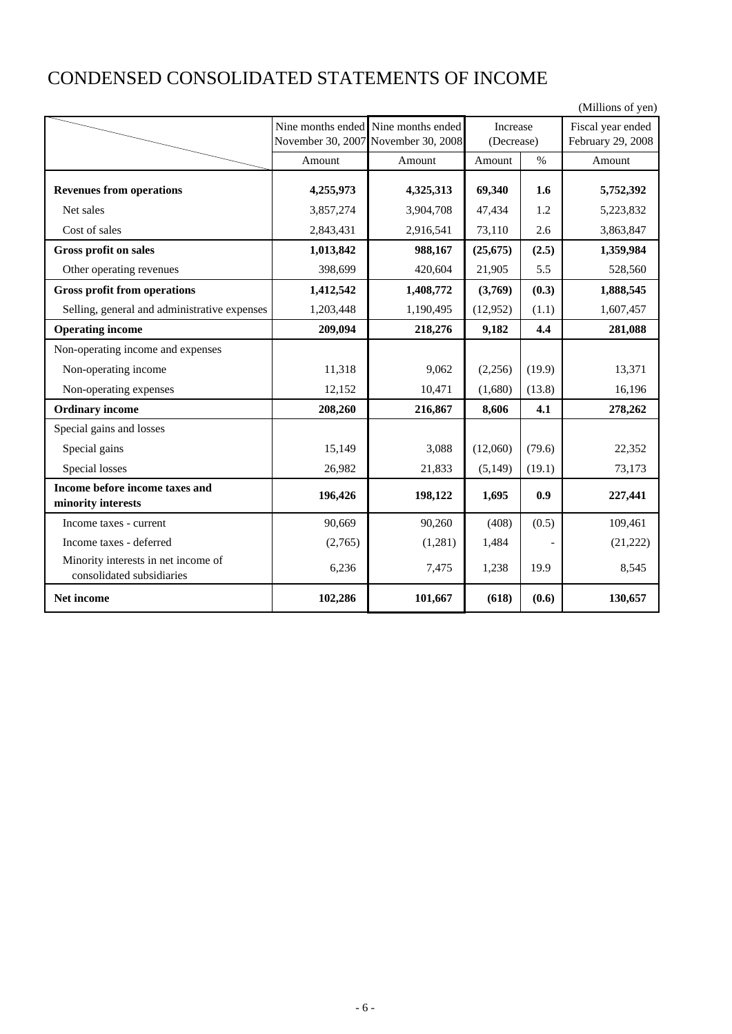# CONDENSED CONSOLIDATED STATEMENTS OF INCOME

|                                                                  |           |                                     |            |        | (Millions of yen) |
|------------------------------------------------------------------|-----------|-------------------------------------|------------|--------|-------------------|
|                                                                  |           | Nine months ended Nine months ended | Increase   |        | Fiscal year ended |
|                                                                  |           | November 30, 2007 November 30, 2008 | (Decrease) |        | February 29, 2008 |
|                                                                  | Amount    | Amount                              | Amount     | $\%$   | Amount            |
| <b>Revenues from operations</b>                                  | 4,255,973 | 4,325,313                           | 69,340     | 1.6    | 5,752,392         |
| Net sales                                                        | 3,857,274 | 3,904,708                           | 47,434     | 1.2    | 5,223,832         |
| Cost of sales                                                    | 2,843,431 | 2,916,541                           | 73,110     | 2.6    | 3,863,847         |
| <b>Gross profit on sales</b>                                     | 1,013,842 | 988,167                             | (25, 675)  | (2.5)  | 1,359,984         |
| Other operating revenues                                         | 398,699   | 420,604                             | 21,905     | 5.5    | 528,560           |
| <b>Gross profit from operations</b>                              | 1,412,542 | 1,408,772                           | (3,769)    | (0.3)  | 1,888,545         |
| Selling, general and administrative expenses                     | 1,203,448 | 1,190,495                           | (12, 952)  | (1.1)  | 1,607,457         |
| <b>Operating income</b>                                          | 209,094   | 218,276                             | 9,182      | 4.4    | 281,088           |
| Non-operating income and expenses                                |           |                                     |            |        |                   |
| Non-operating income                                             | 11,318    | 9,062                               | (2,256)    | (19.9) | 13,371            |
| Non-operating expenses                                           | 12,152    | 10,471                              | (1,680)    | (13.8) | 16,196            |
| <b>Ordinary income</b>                                           | 208,260   | 216,867                             | 8,606      | 4.1    | 278,262           |
| Special gains and losses                                         |           |                                     |            |        |                   |
| Special gains                                                    | 15,149    | 3,088                               | (12,060)   | (79.6) | 22,352            |
| Special losses                                                   | 26,982    | 21,833                              | (5, 149)   | (19.1) | 73,173            |
| Income before income taxes and                                   | 196,426   | 198,122                             | 1,695      | 0.9    | 227,441           |
| minority interests                                               |           |                                     |            |        |                   |
| Income taxes - current                                           | 90,669    | 90,260                              | (408)      | (0.5)  | 109,461           |
| Income taxes - deferred                                          | (2,765)   | (1,281)                             | 1,484      |        | (21, 222)         |
| Minority interests in net income of<br>consolidated subsidiaries | 6,236     | 7,475                               | 1,238      | 19.9   | 8,545             |
| Net income                                                       | 102,286   | 101,667                             | (618)      | (0.6)  | 130,657           |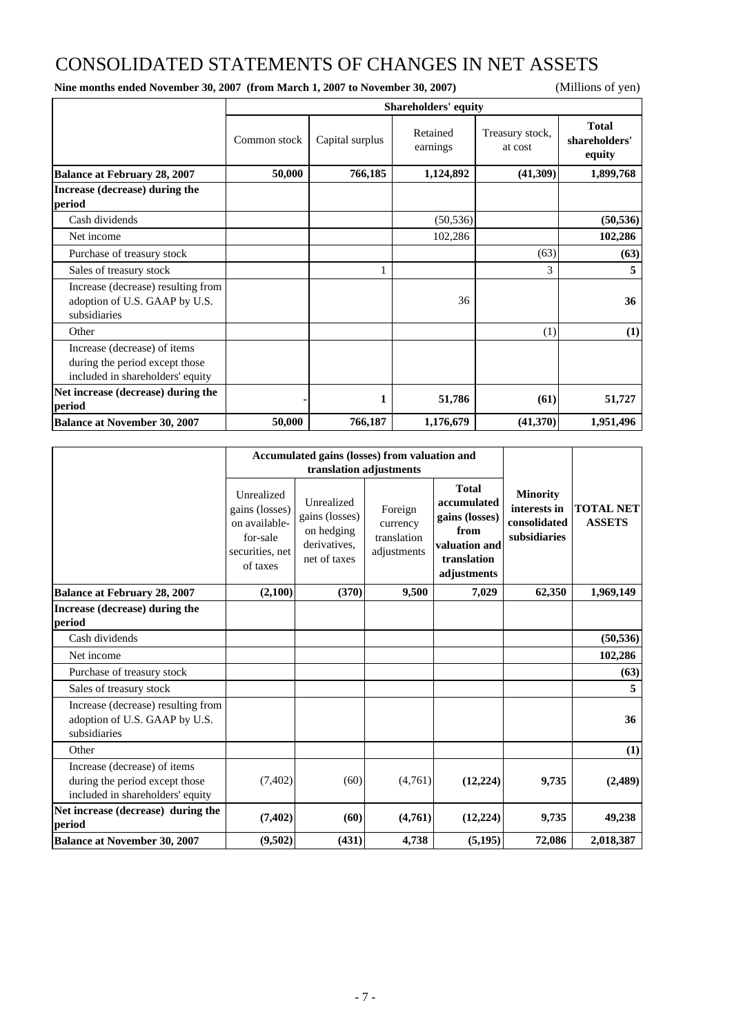# CONSOLIDATED STATEMENTS OF CHANGES IN NET ASSETS

**Nine months ended November 30, 2007 (from March 1, 2007 to November 30, 2007)** (Millions of yen)

|                                                                                                    | <b>Shareholders' equity</b> |                 |                      |                            |                                         |  |  |  |
|----------------------------------------------------------------------------------------------------|-----------------------------|-----------------|----------------------|----------------------------|-----------------------------------------|--|--|--|
|                                                                                                    | Common stock                | Capital surplus | Retained<br>earnings | Treasury stock,<br>at cost | <b>Total</b><br>shareholders'<br>equity |  |  |  |
| <b>Balance at February 28, 2007</b>                                                                | 50,000                      | 766,185         | 1,124,892            | (41,309)                   | 1,899,768                               |  |  |  |
| Increase (decrease) during the<br>period                                                           |                             |                 |                      |                            |                                         |  |  |  |
| Cash dividends                                                                                     |                             |                 | (50, 536)            |                            | (50, 536)                               |  |  |  |
| Net income                                                                                         |                             |                 | 102,286              |                            | 102,286                                 |  |  |  |
| Purchase of treasury stock                                                                         |                             |                 |                      | (63)                       | (63)                                    |  |  |  |
| Sales of treasury stock                                                                            |                             |                 |                      | 3                          | 5                                       |  |  |  |
| Increase (decrease) resulting from<br>adoption of U.S. GAAP by U.S.<br>subsidiaries                |                             |                 | 36                   |                            | 36                                      |  |  |  |
| Other                                                                                              |                             |                 |                      | (1)                        | (1)                                     |  |  |  |
| Increase (decrease) of items<br>during the period except those<br>included in shareholders' equity |                             |                 |                      |                            |                                         |  |  |  |
| Net increase (decrease) during the<br>period                                                       |                             | 1               | 51,786               | (61)                       | 51,727                                  |  |  |  |
| <b>Balance at November 30, 2007</b>                                                                | 50,000                      | 766,187         | 1,176,679            | (41,370)                   | 1,951,496                               |  |  |  |

|                                                                                                    |                                                                                          | Accumulated gains (losses) from valuation and                              |                                                   |                                                                                                      |                                                                 |                                   |
|----------------------------------------------------------------------------------------------------|------------------------------------------------------------------------------------------|----------------------------------------------------------------------------|---------------------------------------------------|------------------------------------------------------------------------------------------------------|-----------------------------------------------------------------|-----------------------------------|
|                                                                                                    |                                                                                          |                                                                            | translation adjustments                           |                                                                                                      |                                                                 |                                   |
|                                                                                                    | Unrealized<br>gains (losses)<br>on available-<br>for-sale<br>securities, net<br>of taxes | Unrealized<br>gains (losses)<br>on hedging<br>derivatives.<br>net of taxes | Foreign<br>currency<br>translation<br>adjustments | <b>Total</b><br>accumulated<br>gains (losses)<br>from<br>valuation and<br>translation<br>adjustments | <b>Minority</b><br>interests in<br>consolidated<br>subsidiaries | <b>TOTAL NET</b><br><b>ASSETS</b> |
| <b>Balance at February 28, 2007</b>                                                                | (2,100)                                                                                  | (370)                                                                      | 9,500                                             | 7,029                                                                                                | 62,350                                                          | 1,969,149                         |
| Increase (decrease) during the<br>period                                                           |                                                                                          |                                                                            |                                                   |                                                                                                      |                                                                 |                                   |
| Cash dividends                                                                                     |                                                                                          |                                                                            |                                                   |                                                                                                      |                                                                 | (50, 536)                         |
| Net income                                                                                         |                                                                                          |                                                                            |                                                   |                                                                                                      |                                                                 | 102,286                           |
| Purchase of treasury stock                                                                         |                                                                                          |                                                                            |                                                   |                                                                                                      |                                                                 | (63)                              |
| Sales of treasury stock                                                                            |                                                                                          |                                                                            |                                                   |                                                                                                      |                                                                 | 5                                 |
| Increase (decrease) resulting from<br>adoption of U.S. GAAP by U.S.<br>subsidiaries                |                                                                                          |                                                                            |                                                   |                                                                                                      |                                                                 | 36                                |
| Other                                                                                              |                                                                                          |                                                                            |                                                   |                                                                                                      |                                                                 | (1)                               |
| Increase (decrease) of items<br>during the period except those<br>included in shareholders' equity | (7,402)                                                                                  | (60)                                                                       | (4,761)                                           | (12, 224)                                                                                            | 9,735                                                           | (2,489)                           |
| Net increase (decrease) during the<br>period                                                       | (7, 402)                                                                                 | (60)                                                                       | (4,761)                                           | (12, 224)                                                                                            | 9,735                                                           | 49,238                            |
| <b>Balance at November 30, 2007</b>                                                                | (9,502)                                                                                  | (431)                                                                      | 4,738                                             | (5, 195)                                                                                             | 72,086                                                          | 2,018,387                         |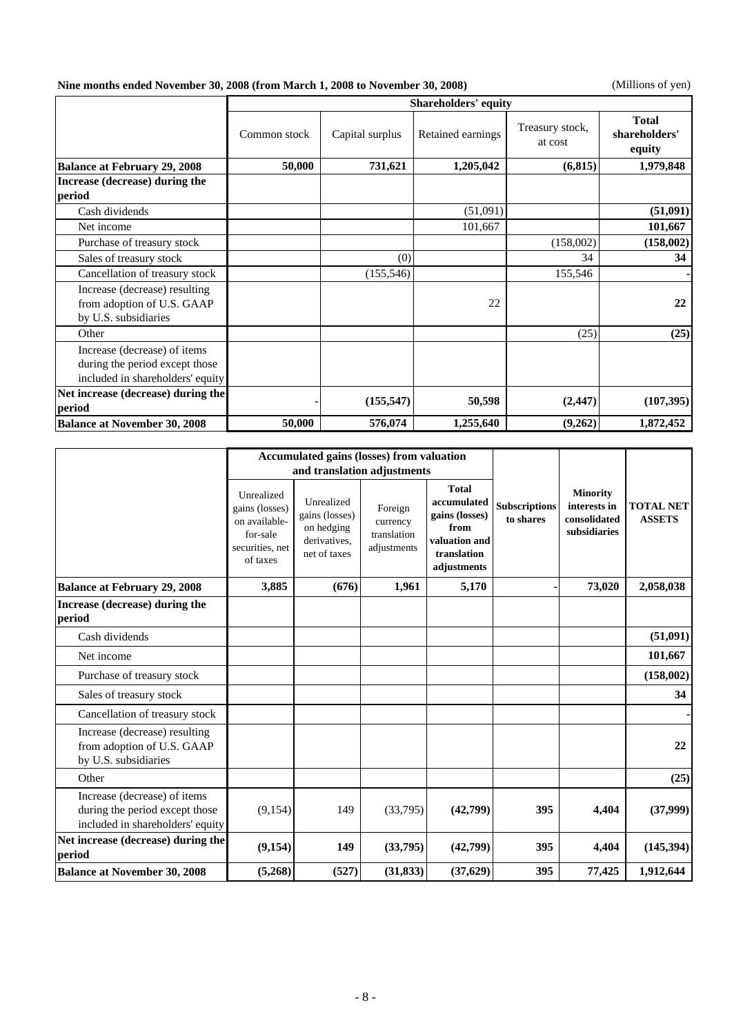**Nine months ended November 30, 2008 (from March 1, 2008 to November 30, 2008)** (Millions of yen)

|                                                                                                    |              |                 | <b>Shareholders' equity</b> |                            |                                         |
|----------------------------------------------------------------------------------------------------|--------------|-----------------|-----------------------------|----------------------------|-----------------------------------------|
|                                                                                                    | Common stock | Capital surplus | Retained earnings           | Treasury stock,<br>at cost | <b>Total</b><br>shareholders'<br>equity |
| <b>Balance at February 29, 2008</b>                                                                | 50,000       | 731,621         | 1,205,042                   | (6, 815)                   | 1,979,848                               |
| Increase (decrease) during the                                                                     |              |                 |                             |                            |                                         |
| period                                                                                             |              |                 |                             |                            |                                         |
| Cash dividends                                                                                     |              |                 | (51,091)                    |                            | (51,091)                                |
| Net income                                                                                         |              |                 | 101,667                     |                            | 101,667                                 |
| Purchase of treasury stock                                                                         |              |                 |                             | (158,002)                  | (158,002)                               |
| Sales of treasury stock                                                                            |              | (0)             |                             | 34                         | 34                                      |
| Cancellation of treasury stock                                                                     |              | (155, 546)      |                             | 155,546                    |                                         |
| Increase (decrease) resulting<br>from adoption of U.S. GAAP<br>by U.S. subsidiaries                |              |                 | 22                          |                            | 22                                      |
| Other                                                                                              |              |                 |                             | (25)                       | (25)                                    |
| Increase (decrease) of items<br>during the period except those<br>included in shareholders' equity |              |                 |                             |                            |                                         |
| Net increase (decrease) during the<br>period                                                       |              | (155, 547)      | 50,598                      | (2, 447)                   | (107, 395)                              |
| <b>Balance at November 30, 2008</b>                                                                | 50,000       | 576,074         | 1,255,640                   | (9,262)                    | 1,872,452                               |

|                                                                                                    | <b>Accumulated gains (losses) from valuation</b>                                         |                                                                            |                                                   |                                                                                                      |                                   |                                                                 |                                   |
|----------------------------------------------------------------------------------------------------|------------------------------------------------------------------------------------------|----------------------------------------------------------------------------|---------------------------------------------------|------------------------------------------------------------------------------------------------------|-----------------------------------|-----------------------------------------------------------------|-----------------------------------|
|                                                                                                    |                                                                                          | and translation adjustments                                                |                                                   |                                                                                                      |                                   |                                                                 |                                   |
|                                                                                                    | Unrealized<br>gains (losses)<br>on available-<br>for-sale<br>securities, net<br>of taxes | Unrealized<br>gains (losses)<br>on hedging<br>derivatives,<br>net of taxes | Foreign<br>currency<br>translation<br>adjustments | <b>Total</b><br>accumulated<br>gains (losses)<br>from<br>valuation and<br>translation<br>adjustments | <b>Subscriptions</b><br>to shares | <b>Minority</b><br>interests in<br>consolidated<br>subsidiaries | <b>TOTAL NET</b><br><b>ASSETS</b> |
| <b>Balance at February 29, 2008</b>                                                                | 3,885                                                                                    | (676)                                                                      | 1,961                                             | 5,170                                                                                                |                                   | 73,020                                                          | 2,058,038                         |
| Increase (decrease) during the<br>period                                                           |                                                                                          |                                                                            |                                                   |                                                                                                      |                                   |                                                                 |                                   |
| Cash dividends                                                                                     |                                                                                          |                                                                            |                                                   |                                                                                                      |                                   |                                                                 | (51,091)                          |
| Net income                                                                                         |                                                                                          |                                                                            |                                                   |                                                                                                      |                                   |                                                                 | 101,667                           |
| Purchase of treasury stock                                                                         |                                                                                          |                                                                            |                                                   |                                                                                                      |                                   |                                                                 | (158,002)                         |
| Sales of treasury stock                                                                            |                                                                                          |                                                                            |                                                   |                                                                                                      |                                   |                                                                 | 34                                |
| Cancellation of treasury stock                                                                     |                                                                                          |                                                                            |                                                   |                                                                                                      |                                   |                                                                 |                                   |
| Increase (decrease) resulting<br>from adoption of U.S. GAAP<br>by U.S. subsidiaries                |                                                                                          |                                                                            |                                                   |                                                                                                      |                                   |                                                                 | 22                                |
| Other                                                                                              |                                                                                          |                                                                            |                                                   |                                                                                                      |                                   |                                                                 | (25)                              |
| Increase (decrease) of items<br>during the period except those<br>included in shareholders' equity | (9, 154)                                                                                 | 149                                                                        | (33,795)                                          | (42,799)                                                                                             | 395                               | 4,404                                                           | (37,999)                          |
| Net increase (decrease) during the<br>period                                                       | (9, 154)                                                                                 | 149                                                                        | (33,795)                                          | (42,799)                                                                                             | 395                               | 4,404                                                           | (145,394)                         |
| <b>Balance at November 30, 2008</b>                                                                | (5,268)                                                                                  | (527)                                                                      | (31, 833)                                         | (37, 629)                                                                                            | 395                               | 77,425                                                          | 1,912,644                         |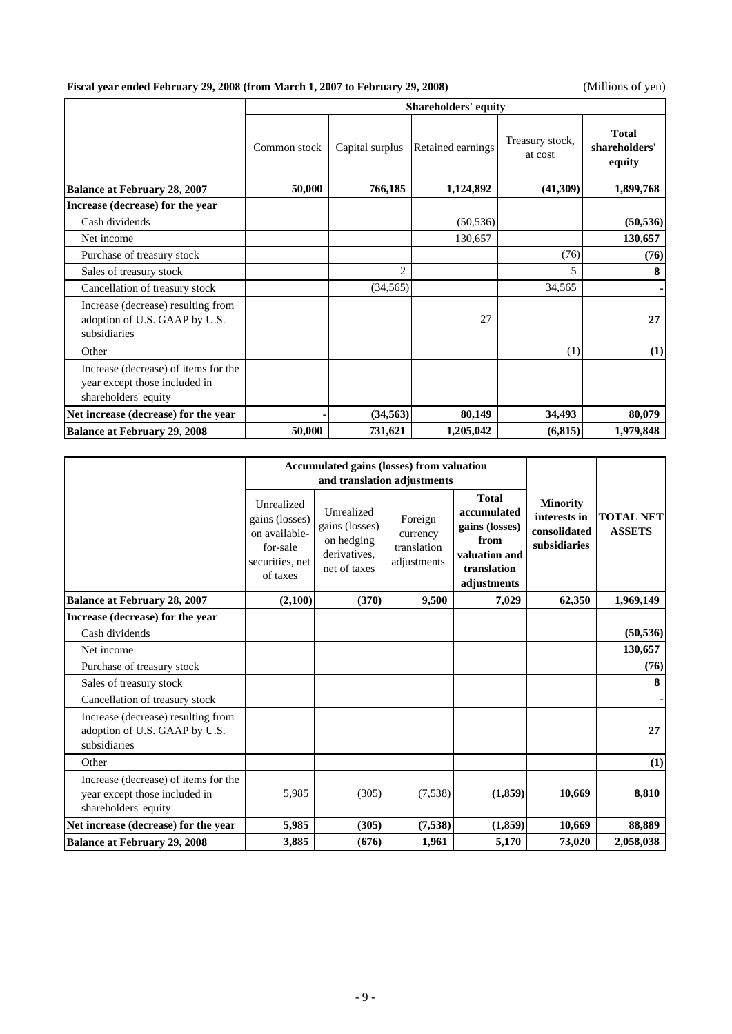## **Fiscal year ended February 29, 2008 (from March 1, 2007 to February 29, 2008)** (Millions of yen)

|                                                                                               | <b>Shareholders' equity</b> |                 |                   |                            |                                         |  |  |  |  |
|-----------------------------------------------------------------------------------------------|-----------------------------|-----------------|-------------------|----------------------------|-----------------------------------------|--|--|--|--|
|                                                                                               | Common stock                | Capital surplus | Retained earnings | Treasury stock,<br>at cost | <b>Total</b><br>shareholders'<br>equity |  |  |  |  |
| <b>Balance at February 28, 2007</b>                                                           | 50,000                      | 766,185         | 1,124,892         | (41,309)                   | 1,899,768                               |  |  |  |  |
| Increase (decrease) for the year                                                              |                             |                 |                   |                            |                                         |  |  |  |  |
| Cash dividends                                                                                |                             |                 | (50, 536)         |                            | (50, 536)                               |  |  |  |  |
| Net income                                                                                    |                             |                 | 130,657           |                            | 130,657                                 |  |  |  |  |
| Purchase of treasury stock                                                                    |                             |                 |                   | (76)                       | (76)                                    |  |  |  |  |
| Sales of treasury stock                                                                       |                             | $\overline{c}$  |                   | 5                          | 8                                       |  |  |  |  |
| Cancellation of treasury stock                                                                |                             | (34, 565)       |                   | 34,565                     |                                         |  |  |  |  |
| Increase (decrease) resulting from<br>adoption of U.S. GAAP by U.S.<br>subsidiaries           |                             |                 | 27                |                            | 27                                      |  |  |  |  |
| Other                                                                                         |                             |                 |                   | (1)                        | (1)                                     |  |  |  |  |
| Increase (decrease) of items for the<br>year except those included in<br>shareholders' equity |                             |                 |                   |                            |                                         |  |  |  |  |
| Net increase (decrease) for the year                                                          |                             | (34, 563)       | 80,149            | 34,493                     | 80,079                                  |  |  |  |  |
| <b>Balance at February 29, 2008</b>                                                           | 50,000                      | 731,621         | 1,205,042         | (6, 815)                   | 1,979,848                               |  |  |  |  |

|                                                                                               |                                                                                          | <b>Accumulated gains (losses) from valuation</b>                           |                                                                                  |                                                                                                      |                                                                 |                                   |
|-----------------------------------------------------------------------------------------------|------------------------------------------------------------------------------------------|----------------------------------------------------------------------------|----------------------------------------------------------------------------------|------------------------------------------------------------------------------------------------------|-----------------------------------------------------------------|-----------------------------------|
|                                                                                               | Unrealized<br>gains (losses)<br>on available-<br>for-sale<br>securities, net<br>of taxes | Unrealized<br>gains (losses)<br>on hedging<br>derivatives.<br>net of taxes | and translation adjustments<br>Foreign<br>currency<br>translation<br>adjustments | <b>Total</b><br>accumulated<br>gains (losses)<br>from<br>valuation and<br>translation<br>adjustments | <b>Minority</b><br>interests in<br>consolidated<br>subsidiaries | <b>TOTAL NET</b><br><b>ASSETS</b> |
| <b>Balance at February 28, 2007</b>                                                           | (2,100)                                                                                  | (370)                                                                      | 9,500                                                                            | 7,029                                                                                                | 62,350                                                          | 1,969,149                         |
| Increase (decrease) for the year                                                              |                                                                                          |                                                                            |                                                                                  |                                                                                                      |                                                                 |                                   |
| Cash dividends                                                                                |                                                                                          |                                                                            |                                                                                  |                                                                                                      |                                                                 | (50, 536)                         |
| Net income                                                                                    |                                                                                          |                                                                            |                                                                                  |                                                                                                      |                                                                 | 130,657                           |
| Purchase of treasury stock                                                                    |                                                                                          |                                                                            |                                                                                  |                                                                                                      |                                                                 | (76)                              |
| Sales of treasury stock                                                                       |                                                                                          |                                                                            |                                                                                  |                                                                                                      |                                                                 | 8                                 |
| Cancellation of treasury stock                                                                |                                                                                          |                                                                            |                                                                                  |                                                                                                      |                                                                 |                                   |
| Increase (decrease) resulting from<br>adoption of U.S. GAAP by U.S.<br>subsidiaries           |                                                                                          |                                                                            |                                                                                  |                                                                                                      |                                                                 | 27                                |
| Other                                                                                         |                                                                                          |                                                                            |                                                                                  |                                                                                                      |                                                                 | (1)                               |
| Increase (decrease) of items for the<br>year except those included in<br>shareholders' equity | 5,985                                                                                    | (305)                                                                      | (7,538)                                                                          | (1, 859)                                                                                             | 10,669                                                          | 8,810                             |
| Net increase (decrease) for the year                                                          | 5,985                                                                                    | (305)                                                                      | (7,538)                                                                          | (1, 859)                                                                                             | 10,669                                                          | 88,889                            |
| <b>Balance at February 29, 2008</b>                                                           | 3,885                                                                                    | (676)                                                                      | 1,961                                                                            | 5,170                                                                                                | 73,020                                                          | 2,058,038                         |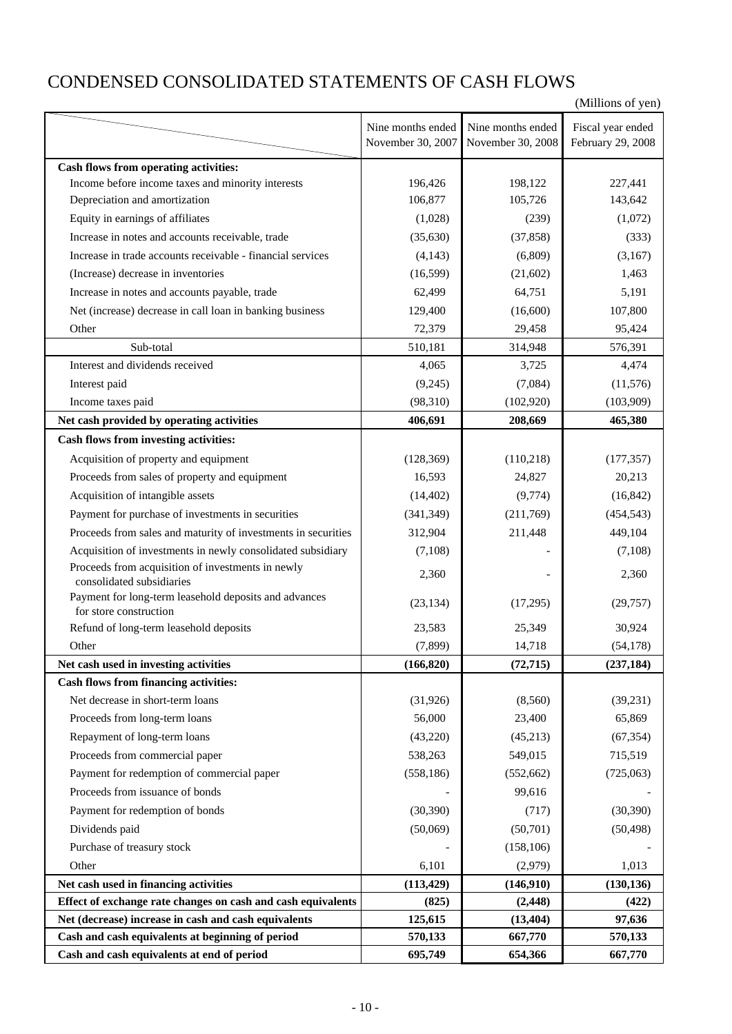# CONDENSED CONSOLIDATED STATEMENTS OF CASH FLOWS

|                                                                                                                      |                     |                       | (Millions of yen)    |
|----------------------------------------------------------------------------------------------------------------------|---------------------|-----------------------|----------------------|
|                                                                                                                      | Nine months ended   | Nine months ended     | Fiscal year ended    |
|                                                                                                                      | November 30, 2007   | November 30, 2008     | February 29, 2008    |
| Cash flows from operating activities:                                                                                |                     |                       |                      |
| Income before income taxes and minority interests                                                                    | 196,426             | 198,122               | 227,441              |
| Depreciation and amortization                                                                                        | 106,877             | 105,726               | 143,642              |
| Equity in earnings of affiliates                                                                                     | (1,028)             | (239)                 | (1,072)              |
| Increase in notes and accounts receivable, trade                                                                     | (35,630)            | (37, 858)             | (333)                |
| Increase in trade accounts receivable - financial services                                                           | (4, 143)            | (6,809)               | (3,167)              |
| (Increase) decrease in inventories                                                                                   | (16,599)            | (21,602)              | 1,463                |
| Increase in notes and accounts payable, trade                                                                        | 62,499              | 64,751                | 5,191                |
| Net (increase) decrease in call loan in banking business                                                             | 129,400             | (16,600)              | 107,800              |
| Other                                                                                                                | 72,379              | 29,458                | 95,424               |
| Sub-total                                                                                                            | 510,181             | 314,948               | 576,391              |
| Interest and dividends received                                                                                      | 4,065               | 3,725                 | 4,474                |
| Interest paid                                                                                                        | (9,245)             | (7,084)               | (11, 576)            |
| Income taxes paid                                                                                                    | (98, 310)           | (102,920)             | (103,909)            |
| Net cash provided by operating activities                                                                            | 406,691             | 208,669               | 465,380              |
| Cash flows from investing activities:                                                                                |                     |                       |                      |
| Acquisition of property and equipment                                                                                | (128, 369)          | (110, 218)            | (177, 357)           |
| Proceeds from sales of property and equipment                                                                        | 16,593              | 24,827                | 20,213               |
| Acquisition of intangible assets                                                                                     | (14, 402)           | (9,774)               | (16, 842)            |
| Payment for purchase of investments in securities                                                                    | (341, 349)          | (211,769)             | (454, 543)           |
| Proceeds from sales and maturity of investments in securities                                                        | 312,904             | 211,448               | 449,104              |
| Acquisition of investments in newly consolidated subsidiary                                                          | (7,108)             |                       | (7,108)              |
| Proceeds from acquisition of investments in newly                                                                    |                     |                       |                      |
| consolidated subsidiaries                                                                                            | 2,360               |                       | 2,360                |
| Payment for long-term leasehold deposits and advances                                                                | (23, 134)           | (17,295)              | (29, 757)            |
| for store construction                                                                                               |                     |                       |                      |
| Refund of long-term leasehold deposits                                                                               | 23,583              | 25,349                | 30,924               |
| Other                                                                                                                | (7, 899)            | 14,718                | (54, 178)            |
| Net cash used in investing activities<br><b>Cash flows from financing activities:</b>                                | (166, 820)          | (72, 715)             | (237, 184)           |
| Net decrease in short-term loans                                                                                     | (31, 926)           | (8,560)               | (39, 231)            |
| Proceeds from long-term loans                                                                                        | 56,000              | 23,400                | 65,869               |
|                                                                                                                      |                     |                       |                      |
| Repayment of long-term loans<br>Proceeds from commercial paper                                                       | (43,220)<br>538,263 | (45,213)<br>549,015   | (67, 354)<br>715,519 |
|                                                                                                                      |                     |                       |                      |
| Payment for redemption of commercial paper<br>Proceeds from issuance of bonds                                        | (558, 186)          | (552, 662)<br>99,616  | (725,063)            |
|                                                                                                                      |                     |                       |                      |
| Payment for redemption of bonds                                                                                      | (30, 390)           | (717)                 | (30, 390)            |
| Dividends paid                                                                                                       | (50,069)            | (50, 701)             | (50, 498)            |
| Purchase of treasury stock                                                                                           |                     | (158, 106)            |                      |
| Other                                                                                                                | 6,101               | (2,979)               | 1,013                |
| Net cash used in financing activities                                                                                | (113, 429)          | (146,910)             | (130, 136)           |
| Effect of exchange rate changes on cash and cash equivalents<br>Net (decrease) increase in cash and cash equivalents | (825)<br>125,615    | (2, 448)<br>(13, 404) | (422)<br>97,636      |
| Cash and cash equivalents at beginning of period                                                                     | 570,133             | 667,770               | 570,133              |
| Cash and cash equivalents at end of period                                                                           | 695,749             | 654,366               | 667,770              |
|                                                                                                                      |                     |                       |                      |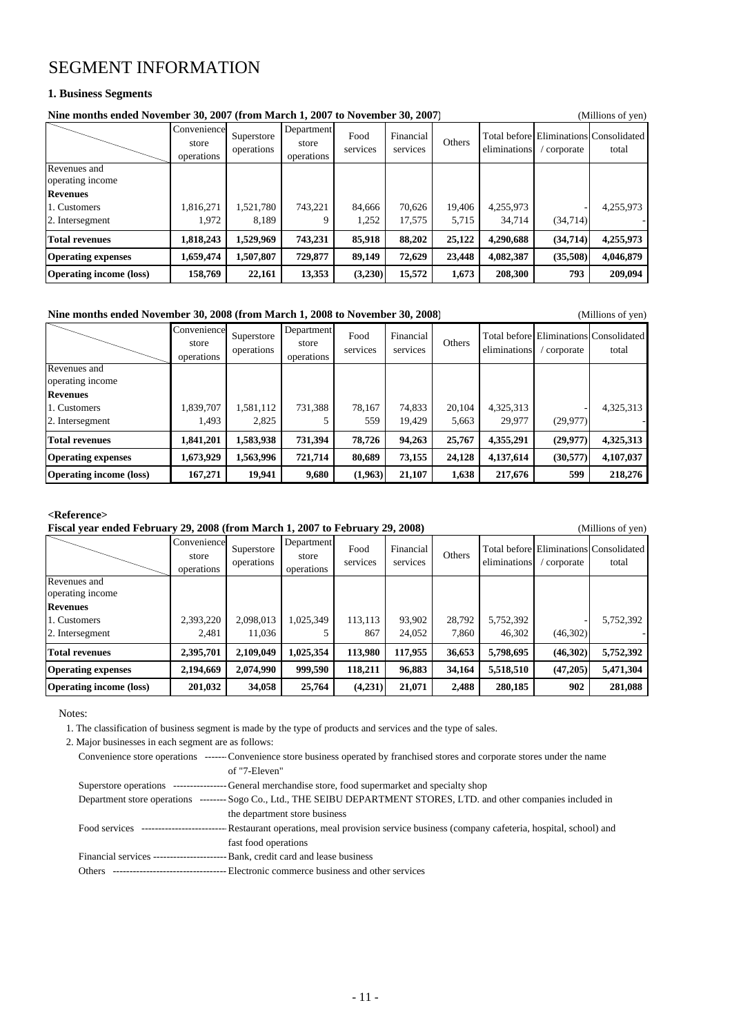# SEGMENT INFORMATION

### **1. Business Segments**

| Nine months ended November 30, 2007 (from March 1, 2007 to November 30, 2007)<br>(Millions of yen) |                                    |                          |                                   |                  |                       |        |              |           |                                                 |  |
|----------------------------------------------------------------------------------------------------|------------------------------------|--------------------------|-----------------------------------|------------------|-----------------------|--------|--------------|-----------|-------------------------------------------------|--|
|                                                                                                    | Convenience<br>store<br>operations | Superstore<br>operations | Department<br>store<br>operations | Food<br>services | Financial<br>services | Others | eliminations | corporate | Total before Eliminations Consolidated<br>total |  |
| Revenues and<br>operating income                                                                   |                                    |                          |                                   |                  |                       |        |              |           |                                                 |  |
| <b>Revenues</b>                                                                                    |                                    |                          |                                   |                  |                       |        |              |           |                                                 |  |
| 1. Customers                                                                                       | 1,816,271                          | 1,521,780                | 743,221                           | 84,666           | 70,626                | 19,406 | 4,255,973    |           | 4,255,973                                       |  |
| 2. Intersegment                                                                                    | 1.972                              | 8.189                    |                                   | 1,252            | 17.575                | 5.715  | 34.714       | (34,714)  |                                                 |  |
| <b>Total revenues</b>                                                                              | 1,818,243                          | 1,529,969                | 743,231                           | 85,918           | 88,202                | 25,122 | 4,290,688    | (34,714)  | 4,255,973                                       |  |
| <b>Operating expenses</b>                                                                          | 1,659,474                          | 1,507,807                | 729,877                           | 89,149           | 72.629                | 23,448 | 4,082,387    | (35,508)  | 4,046,879                                       |  |
| <b>Operating income (loss)</b>                                                                     | 158,769                            | 22,161                   | 13,353                            | (3,230)          | 15,572                | 1,673  | 208,300      | 793       | 209,094                                         |  |

### **Nine months ended November 30, 2008 (from March 1, 2008 to November 30, 2008)** (Millions of yen)

|                                  | Convenience<br>store<br>operations | Superstore<br>operations | Department<br>store<br>operations | Food<br>services | Financial<br>services | Others | eliminations | corporate | <b>Total before Eliminations Consolidated</b><br>total |
|----------------------------------|------------------------------------|--------------------------|-----------------------------------|------------------|-----------------------|--------|--------------|-----------|--------------------------------------------------------|
| Revenues and<br>operating income |                                    |                          |                                   |                  |                       |        |              |           |                                                        |
| <b>Revenues</b>                  |                                    |                          |                                   |                  |                       |        |              |           |                                                        |
| 1. Customers                     | 1,839,707                          | 1,581,112                | 731,388                           | 78,167           | 74,833                | 20,104 | 4,325,313    |           | 4,325,313                                              |
| 2. Intersegment                  | 1.493                              | 2.825                    |                                   | 559              | 19,429                | 5.663  | 29,977       | (29,977)  |                                                        |
| <b>Total revenues</b>            | 1,841,201                          | 1,583,938                | 731,394                           | 78,726           | 94,263                | 25,767 | 4,355,291    | (29, 977) | 4,325,313                                              |
| <b>Operating expenses</b>        | 1,673,929                          | 1,563,996                | 721,714                           | 80,689           | 73,155                | 24,128 | 4,137,614    | (30,577)  | 4,107,037                                              |
| <b>Operating income (loss)</b>   | 167,271                            | 19,941                   | 9,680                             | (1,963)          | 21,107                | 1,638  | 217,676      | 599       | 218,276                                                |

### **<Reference>**

| Fiscal year ended February 29, 2008 (from March 1, 2007 to February 29, 2008)<br>(Millions of yen) |                                    |                          |                                   |                  |                       |               |              |           |                                                 |  |
|----------------------------------------------------------------------------------------------------|------------------------------------|--------------------------|-----------------------------------|------------------|-----------------------|---------------|--------------|-----------|-------------------------------------------------|--|
|                                                                                                    | Convenience<br>store<br>operations | Superstore<br>operations | Department<br>store<br>operations | Food<br>services | Financial<br>services | <b>Others</b> | eliminations | corporate | Total before Eliminations Consolidated<br>total |  |
| Revenues and<br>operating income                                                                   |                                    |                          |                                   |                  |                       |               |              |           |                                                 |  |
| <b>Revenues</b>                                                                                    |                                    |                          |                                   |                  |                       |               |              |           |                                                 |  |
| 1. Customers                                                                                       | 2,393,220                          | 2.098.013                | 1,025,349                         | 113.113          | 93.902                | 28,792        | 5,752,392    |           | 5,752,392                                       |  |
| 2. Intersegment                                                                                    | 2.481                              | 11.036                   |                                   | 867              | 24.052                | 7.860         | 46,302       | (46,302)  |                                                 |  |
| <b>Total revenues</b>                                                                              | 2,395,701                          | 2,109,049                | 1,025,354                         | 113,980          | 117,955               | 36,653        | 5,798,695    | (46,302)  | 5,752,392                                       |  |
| <b>Operating expenses</b>                                                                          | 2,194,669                          | 2,074,990                | 999,590                           | 118,211          | 96,883                | 34,164        | 5,518,510    | (47,205)  | 5,471,304                                       |  |
| <b>Operating income (loss)</b>                                                                     | 201,032                            | 34,058                   | 25,764                            | (4,231)          | 21,071                | 2,488         | 280,185      | 902       | 281,088                                         |  |

Notes:

1. The classification of business segment is made by the type of products and services and the type of sales.

2. Major businesses in each segment are as follows:

|                                          | Convenience store operations ------- Convenience store business operated by franchised stores and corporate stores under the name          |
|------------------------------------------|--------------------------------------------------------------------------------------------------------------------------------------------|
|                                          | of "7-Eleven"                                                                                                                              |
|                                          | Superstore operations --------------------General merchandise store, food supermarket and specialty shop                                   |
|                                          | Department store operations -------- Sogo Co., Ltd., THE SEIBU DEPARTMENT STORES, LTD. and other companies included in                     |
|                                          | the department store business                                                                                                              |
|                                          | Food services ----------------------------Restaurant operations, meal provision service business (company cafeteria, hospital, school) and |
|                                          | fast food operations                                                                                                                       |
|                                          | Financial services ---------------------------- Bank, credit card and lease business                                                       |
| Others --------------------------------- | -- Electronic commerce business and other services                                                                                         |
|                                          |                                                                                                                                            |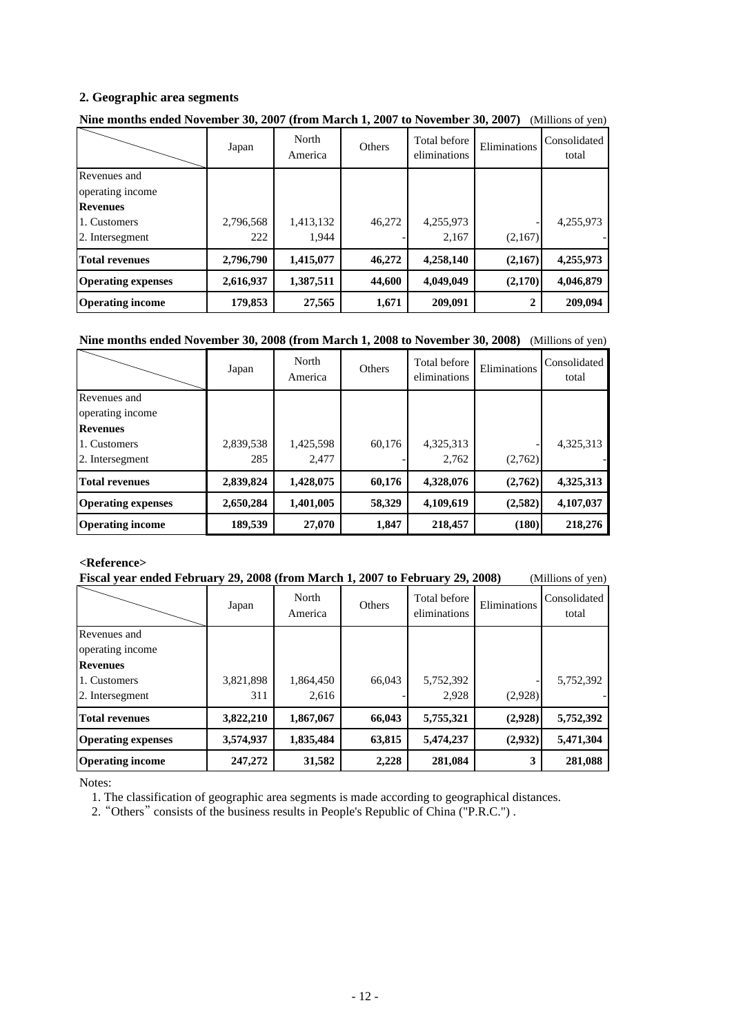## **2. Geographic area segments**

|                           | Japan     | North<br>America | Others | Total before<br>eliminations | Eliminations | Consolidated<br>total |
|---------------------------|-----------|------------------|--------|------------------------------|--------------|-----------------------|
| Revenues and              |           |                  |        |                              |              |                       |
| operating income          |           |                  |        |                              |              |                       |
| <b>Revenues</b>           |           |                  |        |                              |              |                       |
| 1. Customers              | 2,796,568 | 1,413,132        | 46,272 | 4,255,973                    |              | 4,255,973             |
| 2. Intersegment           | 222       | 1.944            |        | 2.167                        | (2,167)      |                       |
| <b>Total revenues</b>     | 2,796,790 | 1,415,077        | 46,272 | 4,258,140                    | (2,167)      | 4,255,973             |
| <b>Operating expenses</b> | 2,616,937 | 1,387,511        | 44,600 | 4,049,049                    | (2,170)      | 4,046,879             |
| <b>Operating income</b>   | 179,853   | 27,565           | 1,671  | 209,091                      | 2            | 209,094               |

# **Nine months ended November 30, 2007 (from March 1, 2007 to November 30, 2007)** (Millions of yen)

## **Nine months ended November 30, 2008 (from March 1, 2008 to November 30, 2008)** (Millions of yen)

|                                                    | Japan            | North<br>America   | <b>Others</b> | Total before<br>eliminations | Eliminations | Consolidated<br>total |
|----------------------------------------------------|------------------|--------------------|---------------|------------------------------|--------------|-----------------------|
| Revenues and<br>operating income                   |                  |                    |               |                              |              |                       |
| <b>Revenues</b><br>1. Customers<br>2. Intersegment | 2,839,538<br>285 | 1,425,598<br>2,477 | 60,176        | 4,325,313<br>2,762           | (2,762)      | 4,325,313             |
| <b>Total revenues</b>                              | 2,839,824        | 1,428,075          | 60,176        | 4,328,076                    | (2,762)      | 4,325,313             |
| <b>Operating expenses</b>                          | 2,650,284        | 1,401,005          | 58,329        | 4,109,619                    | (2,582)      | 4,107,037             |
| <b>Operating income</b>                            | 189,539          | 27,070             | 1,847         | 218,457                      | (180)        | 218,276               |

### **<Reference>**

|  | Fiscal year ended February 29, 2008 (from March 1, 2007 to February 29, 2008) |  |  |  |  | (Millions of yen) |
|--|-------------------------------------------------------------------------------|--|--|--|--|-------------------|
|--|-------------------------------------------------------------------------------|--|--|--|--|-------------------|

|                                                                     | Japan     | North<br>America | Others | Total before<br>eliminations | Eliminations | Consolidated<br>total |
|---------------------------------------------------------------------|-----------|------------------|--------|------------------------------|--------------|-----------------------|
| Revenues and<br>operating income<br><b>Revenues</b><br>1. Customers | 3,821,898 | 1,864,450        | 66,043 | 5,752,392                    |              | 5,752,392             |
| 2. Intersegment                                                     | 311       | 2,616            |        | 2,928                        | (2,928)      |                       |
| <b>Total revenues</b>                                               | 3,822,210 | 1,867,067        | 66,043 | 5,755,321                    | (2,928)      | 5,752,392             |
| <b>Operating expenses</b>                                           | 3,574,937 | 1,835,484        | 63,815 | 5,474,237                    | (2,932)      | 5,471,304             |
| <b>Operating income</b>                                             | 247,272   | 31,582           | 2,228  | 281,084                      | 3            | 281,088               |

Notes:

1. The classification of geographic area segments is made according to geographical distances.

2. "Others" consists of the business results in People's Republic of China ("P.R.C.") .